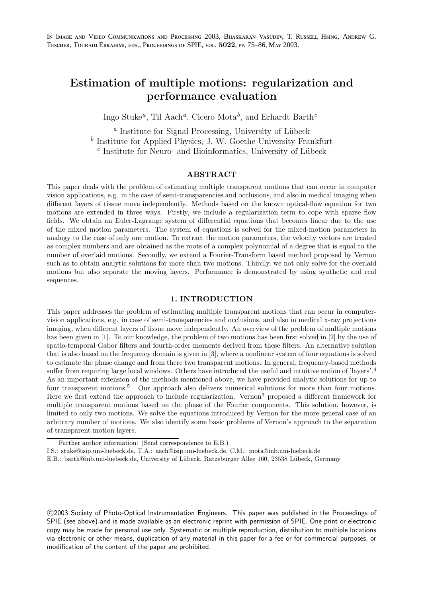# Estimation of multiple motions: regularization and performance evaluation

Ingo Stuke<sup>*a*</sup>, Til Aach<sup>*a*</sup>, Cicero Mota<sup>*b*</sup>, and Erhardt Barth<sup>*c*</sup>

<sup>a</sup> Institute for Signal Processing, University of Lübeck b Institute for Applied Physics, J. W. Goethe-University Frankfurt  $c$  Institute for Neuro- and Bioinformatics, University of Lübeck

# ABSTRACT

This paper deals with the problem of estimating multiple transparent motions that can occur in computer vision applications, e.g. in the case of semi-transparencies and occlusions, and also in medical imaging when different layers of tissue move independently. Methods based on the known optical-flow equation for two motions are extended in three ways. Firstly, we include a regularization term to cope with sparse flow fields. We obtain an Euler-Lagrange system of differential equations that becomes linear due to the use of the mixed motion parameters. The system of equations is solved for the mixed-motion parameters in analogy to the case of only one motion. To extract the motion parameters, the velocity vectors are treated as complex numbers and are obtained as the roots of a complex polynomial of a degree that is equal to the number of overlaid motions. Secondly, we extend a Fourier-Transform based method proposed by Vernon such as to obtain analytic solutions for more than two motions. Thirdly, we not only solve for the overlaid motions but also separate the moving layers. Performance is demonstrated by using synthetic and real sequences.

# 1. INTRODUCTION

This paper addresses the problem of estimating multiple transparent motions that can occur in computervision applications, e.g. in case of semi-transparencies and occlusions, and also in medical x-ray projections imaging, when different layers of tissue move independently. An overview of the problem of multiple motions has been given in [1]. To our knowledge, the problem of two motions has been first solved in [2] by the use of spatio-temporal Gabor filters and fourth-order moments derived from these filters. An alternative solution that is also based on the frequency domain is given in [3], where a nonlinear system of four equations is solved to estimate the phase change and from there two transparent motions. In general, frequency-based methods suffer from requiring large local windows. Others have introduced the useful and intuitive notion of 'layers'.<sup>4</sup> As an important extension of the methods mentioned above, we have provided analytic solutions for up to four transparent motions.<sup>5</sup> Our approach also delivers numerical solutions for more than four motions. Here we first extend the approach to include regularization. Vernon<sup>3</sup> proposed a different framework for multiple transparent motions based on the phase of the Fourier components. This solution, however, is limited to only two motions. We solve the equations introduced by Vernon for the more general case of an arbitrary number of motions. We also identify some basic problems of Vernon's approach to the separation of transparent motion layers.

 c 2003 Society of Photo-Optical Instrumentation Engineers. This paper was published in the Proceedings of SPIE (see above) and is made available as an electronic reprint with permission of SPIE. One print or electronic copy may be made for personal use only. Systematic or multiple reproduction, distribution to multiple locations via electronic or other means, duplication of any material in this paper for a fee or for commercial purposes, or modification of the content of the paper are prohibited.

Further author information: (Send correspondence to E.B.)

I.S.: stuke@isip.uni-luebeck.de, T.A.: aach@isip.uni-luebeck.de, C.M.: mota@inb.uni-luebeck.de

E.B.: barth@inb.uni-luebeck.de, University of Lübeck, Ratzeburger Allee 160, 23538 Lübeck, Germany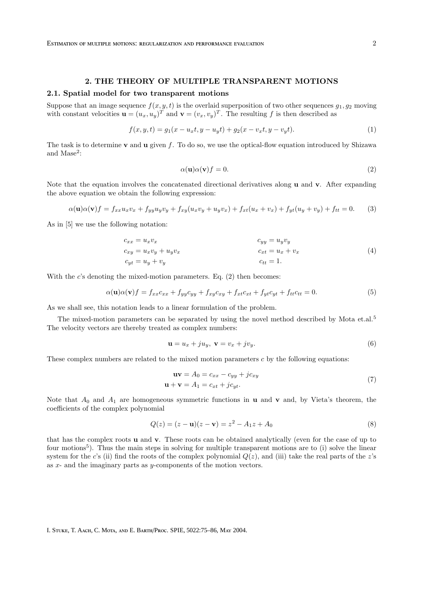# 2. THE THEORY OF MULTIPLE TRANSPARENT MOTIONS

#### 2.1. Spatial model for two transparent motions

Suppose that an image sequence  $f(x, y, t)$  is the overlaid superposition of two other sequences  $q_1, q_2$  moving with constant velocities  $\mathbf{u} = (u_x, u_y)^T$  and  $\mathbf{v} = (v_x, v_y)^T$ . The resulting f is then described as

$$
f(x, y, t) = g_1(x - u_x t, y - u_y t) + g_2(x - v_x t, y - v_y t).
$$
\n(1)

The task is to determine **v** and **u** given f. To do so, we use the optical-flow equation introduced by Shizawa and Mase<sup>2</sup>:

$$
\alpha(\mathbf{u})\alpha(\mathbf{v})f = 0.\tag{2}
$$

Note that the equation involves the concatenated directional derivatives along u and v. After expanding the above equation we obtain the following expression:

$$
\alpha(\mathbf{u})\alpha(\mathbf{v})f = f_{xx}u_xv_x + f_{yy}u_yv_y + f_{xy}(u_xv_y + u_yv_x) + f_{xt}(u_x + v_x) + f_{yt}(u_y + v_y) + f_{tt} = 0. \tag{3}
$$

As in [5] we use the following notation:

$$
c_{xx} = u_x v_x
$$
  
\n
$$
c_{xy} = u_x v_y + u_y v_x
$$
  
\n
$$
c_{yy} = u_y v_y
$$
  
\n
$$
c_{xx} = u_x + v_x
$$
  
\n
$$
c_{tt} = u_x
$$
  
\n(4)  
\n
$$
c_{tt} = 1.
$$

With the  $c$ 's denoting the mixed-motion parameters. Eq.  $(2)$  then becomes:

$$
\alpha(\mathbf{u})\alpha(\mathbf{v})f = f_{xx}c_{xx} + f_{yy}c_{yy} + f_{xy}c_{xy} + f_{xt}c_{xt} + f_{yt}c_{yt} + f_{tt}c_{tt} = 0.
$$
\n
$$
(5)
$$

As we shall see, this notation leads to a linear formulation of the problem.

The mixed-motion parameters can be separated by using the novel method described by Mota et.al.<sup>5</sup> The velocity vectors are thereby treated as complex numbers:

$$
\mathbf{u} = u_x + ju_y, \ \mathbf{v} = v_x + jv_y. \tag{6}
$$

These complex numbers are related to the mixed motion parameters  $c$  by the following equations:

$$
\mathbf{uv} = A_0 = c_{xx} - c_{yy} + jc_{xy}
$$
  

$$
\mathbf{u} + \mathbf{v} = A_1 = c_{xt} + jc_{yt}.
$$
 (7)

Note that  $A_0$  and  $A_1$  are homogeneous symmetric functions in **u** and **v** and, by Vieta's theorem, the coefficients of the complex polynomial

$$
Q(z) = (z - \mathbf{u})(z - \mathbf{v}) = z^2 - A_1 z + A_0
$$
\n(8)

that has the complex roots u and v. These roots can be obtained analytically (even for the case of up to four motions<sup>5</sup>). Thus the main steps in solving for multiple transparent motions are to (i) solve the linear system for the c's (ii) find the roots of the complex polynomial  $Q(z)$ , and (iii) take the real parts of the z's as x- and the imaginary parts as y-components of the motion vectors.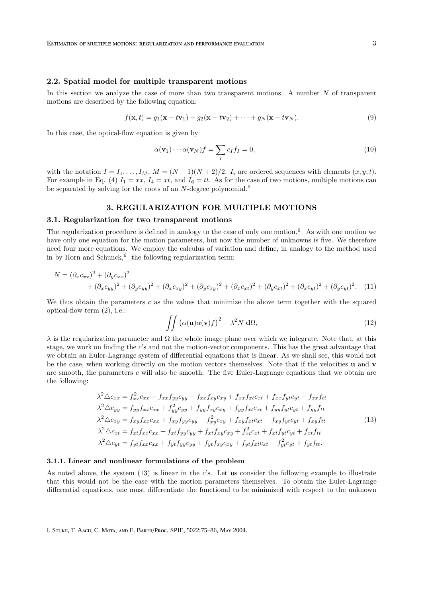### 2.2. Spatial model for multiple transparent motions

In this section we analyze the case of more than two transparent motions. A number  $N$  of transparent motions are described by the following equation:

$$
f(\mathbf{x},t) = g_1(\mathbf{x} - t\mathbf{v}_1) + g_2(\mathbf{x} - t\mathbf{v}_2) + \dots + g_N(\mathbf{x} - t\mathbf{v}_N).
$$
\n(9)

In this case, the optical-flow equation is given by

$$
\alpha(\mathbf{v}_1)\cdots\alpha(\mathbf{v}_N)f = \sum_{I} c_I f_I = 0, \qquad (10)
$$

with the notation  $I = I_1, \ldots, I_M$ ,  $M = (N + 1)(N + 2)/2$ .  $I_i$  are ordered sequences with elements  $(x, y, t)$ . For example in Eq. (4)  $I_1 = xx$ ,  $I_4 = xt$ , and  $I_6 = tt$ . As for the case of two motions, multiple motions can be separated by solving for the roots of an  $N$ -degree polynomial.<sup>5</sup>

### 3. REGULARIZATION FOR MULTIPLE MOTIONS

### 3.1. Regularization for two transparent motions

The regularization procedure is defined in analogy to the case of only one motion.<sup>6</sup> As with one motion we have only one equation for the motion parameters, but now the number of unknowns is five. We therefore need four more equations. We employ the calculus of variation and define, in analogy to the method used in by Horn and Schunck,  $6$  the following regularization term:

$$
N = (\partial_x c_{xx})^2 + (\partial_y c_{xx})^2 + (\partial_y c_{yy})^2 + (\partial_x c_{xy})^2 + (\partial_y c_{xy})^2 + (\partial_y c_{xy})^2 + (\partial_y c_{xt})^2 + (\partial_y c_{yt})^2 + (\partial_y c_{yt})^2.
$$
 (11)

We thus obtain the parameters  $c$  as the values that minimize the above term together with the squared optical-flow term (2), i.e.:

$$
\iint \left( \alpha(\mathbf{u}) \alpha(\mathbf{v}) f \right)^2 + \lambda^2 N \, \mathbf{d}\Omega,\tag{12}
$$

 $λ$  is the regularization parameter and  $Ω$  the whole image plane over which we integrate. Note that, at this stage, we work on finding the c's and not the motion-vector components. This has the great advantage that we obtain an Euler-Lagrange system of differential equations that is linear. As we shall see, this would not be the case, when working directly on the motion vectors themselves. Note that if the velocities u and v are smooth, the parameters  $c$  will also be smooth. The five Euler-Lagrange equations that we obtain are the following:

$$
\lambda^{2} \triangle c_{xx} = f_{xx}^{2} c_{xx} + f_{xx} f_{yy} c_{yy} + f_{xx} f_{xy} c_{xy} + f_{xx} f_{xt} c_{xt} + f_{xx} f_{yt} c_{yt} + f_{xx} f_{tt}
$$
  
\n
$$
\lambda^{2} \triangle c_{yy} = f_{yy} f_{xx} c_{xx} + f_{yy}^{2} c_{yy} + f_{yy} f_{xy} c_{xy} + f_{yy} f_{xt} c_{xt} + f_{yy} f_{yt} c_{yt} + f_{yy} f_{tt}
$$
  
\n
$$
\lambda^{2} \triangle c_{xy} = f_{xy} f_{xx} c_{xx} + f_{xy} f_{yy} c_{yy} + f_{xy}^{2} c_{xy} + f_{xy} f_{xt} c_{xt} + f_{xy} f_{yt} c_{yt} + f_{xy} f_{tt}
$$
  
\n
$$
\lambda^{2} \triangle c_{xt} = f_{xt} f_{xx} c_{xx} + f_{xt} f_{yy} c_{yy} + f_{xt} f_{xy} c_{xy} + f_{xt}^{2} c_{xt} + f_{xt} f_{yt} c_{yt} + f_{xt} f_{tt}
$$
  
\n
$$
\lambda^{2} \triangle c_{yt} = f_{yt} f_{xx} c_{xx} + f_{yt} f_{yy} c_{yy} + f_{yt} f_{xy} c_{xy} + f_{yt} f_{xt} c_{xt} + f_{yt}^{2} c_{yt} + f_{yt} f_{tt}.
$$
  
\n(13)

### 3.1.1. Linear and nonlinear formulations of the problem

As noted above, the system  $(13)$  is linear in the c's. Let us consider the following example to illustrate that this would not be the case with the motion parameters themselves. To obtain the Euler-Lagrange differential equations, one must differentiate the functional to be minimized with respect to the unknown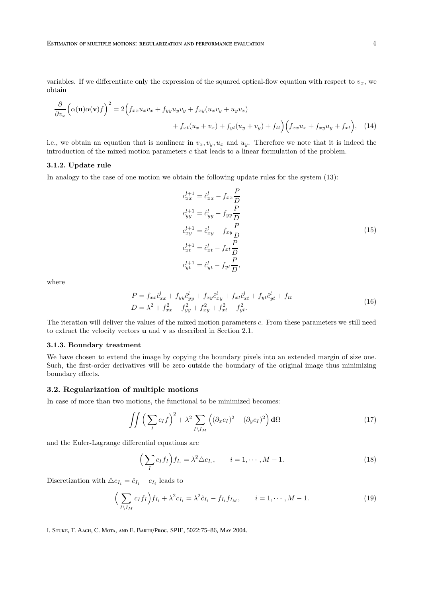variables. If we differentiate only the expression of the squared optical-flow equation with respect to  $v_x$ , we obtain

$$
\frac{\partial}{\partial v_x} \Big( \alpha(\mathbf{u}) \alpha(\mathbf{v}) f \Big)^2 = 2 \Big( f_{xx} u_x v_x + f_{yy} u_y v_y + f_{xy} (u_x v_y + u_y v_x) + f_{xt} (u_x + v_x) + f_{yt} (u_y + v_y) + f_{tt} \Big) \Big( f_{xx} u_x + f_{xy} u_y + f_{xt} \Big), \quad (14)
$$

i.e., we obtain an equation that is nonlinear in  $v_x, v_y, u_x$  and  $u_y$ . Therefore we note that it is indeed the introduction of the mixed motion parameters c that leads to a linear formulation of the problem.

### 3.1.2. Update rule

In analogy to the case of one motion we obtain the following update rules for the system (13):

$$
c_{xx}^{l+1} = \hat{c}_{xx}^l - f_{xx} \frac{P}{D}
$$
  
\n
$$
c_{yy}^{l+1} = \hat{c}_{yy}^l - f_{yy} \frac{P}{D}
$$
  
\n
$$
c_{xy}^{l+1} = \hat{c}_{xy}^l - f_{xy} \frac{P}{D}
$$
  
\n
$$
c_{xt}^{l+1} = \hat{c}_{xt}^l - f_{xt} \frac{P}{D}
$$
  
\n
$$
c_{yt}^{l+1} = \hat{c}_{yt}^l - f_{yt} \frac{P}{D},
$$
\n(15)

where

$$
P = f_{xx}\hat{c}_{xx}^l + f_{yy}\hat{c}_{yy}^l + f_{xy}\hat{c}_{xy}^l + f_{xt}\hat{c}_{xt}^l + f_{yt}\hat{c}_{yt}^l + f_{tt}
$$
  
\n
$$
D = \lambda^2 + f_{xx}^2 + f_{yy}^2 + f_{xy}^2 + f_{xt}^2 + f_{yt}^2.
$$
\n(16)

The iteration will deliver the values of the mixed motion parameters c. From these parameters we still need to extract the velocity vectors u and v as described in Section 2.1.

# 3.1.3. Boundary treatment

We have chosen to extend the image by copying the boundary pixels into an extended margin of size one. Such, the first-order derivatives will be zero outside the boundary of the original image thus minimizing boundary effects.

### 3.2. Regularization of multiple motions

In case of more than two motions, the functional to be minimized becomes:

$$
\iint \left(\sum_{I} c_{I} f\right)^{2} + \lambda^{2} \sum_{I \setminus I_{M}} \left( (\partial_{x} c_{I})^{2} + (\partial_{y} c_{I})^{2} \right) d\Omega \tag{17}
$$

and the Euler-Lagrange differential equations are

$$
\left(\sum_{I} c_{I} f_{I}\right) f_{I_{i}} = \lambda^{2} \triangle c_{I_{i}}, \qquad i = 1, \cdots, M - 1.
$$
\n(18)

Discretization with  $\triangle c_{I_i} = \hat{c}_{I_i} - c_{I_i}$  leads to

$$
\left(\sum_{I \setminus I_M} c_I f_I\right) f_{I_i} + \lambda^2 c_{I_i} = \lambda^2 \hat{c}_{I_i} - f_{I_i} f_{I_M}, \qquad i = 1, \cdots, M - 1. \tag{19}
$$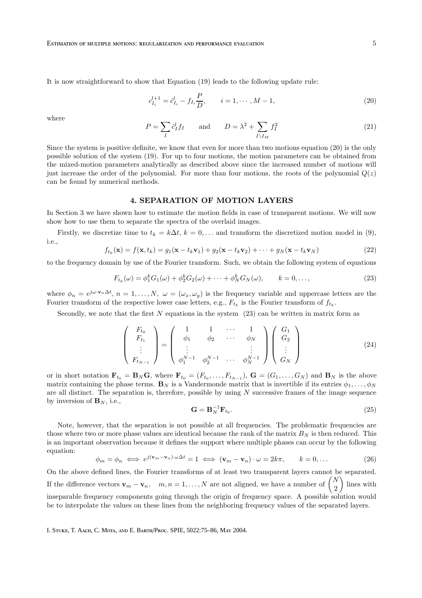It is now straightforward to show that Equation (19) leads to the following update rule:

$$
c_{I_i}^{l+1} = \hat{c}_{I_i}^l - f_{I_i} \frac{P}{D}, \qquad i = 1, \cdots, M-1,
$$
\n(20)

where

$$
P = \sum_{I} \hat{c}_{I}^{l} f_{I} \quad \text{and} \quad D = \lambda^{2} + \sum_{I \setminus I_{M}} f_{I}^{2} \tag{21}
$$

Since the system is positive definite, we know that even for more than two motions equation (20) is the only possible solution of the system (19). For up to four motions, the motion parameters can be obtained from the mixed-motion parameters analytically as described above since the increased number of motions will just increase the order of the polynomial. For more than four motions, the roots of the polynomial  $Q(z)$ can be found by numerical methods.

# 4. SEPARATION OF MOTION LAYERS

In Section 3 we have shown how to estimate the motion fields in case of transparent motions. We will now show how to use them to separate the spectra of the overlaid images.

Firstly, we discretize time to  $t_k = k\Delta t$ ,  $k = 0,...$  and transform the discretized motion model in (9), i.e.,

$$
f_{t_k}(\mathbf{x}) = f(\mathbf{x}, t_k) = g_1(\mathbf{x} - t_k \mathbf{v}_1) + g_2(\mathbf{x} - t_k \mathbf{v}_2) + \dots + g_N(\mathbf{x} - t_k \mathbf{v}_N)
$$
(22)

to the frequency domain by use of the Fourier transform. Such, we obtain the following system of equations

$$
F_{t_k}(\omega) = \phi_1^k G_1(\omega) + \phi_2^k G_2(\omega) + \dots + \phi_N^k G_N(\omega), \qquad k = 0, \dots,
$$
\n(23)

where  $\phi_n = e^{j\omega \cdot \mathbf{v}_n \Delta t}$ ,  $n = 1, ..., N$ ,  $\omega = (\omega_x, \omega_y)$  is the frequency variable and uppercase letters are the Fourier transform of the respective lower case letters, e.g.,  $F_{t_k}$  is the Fourier transform of  $f_{t_k}$ .

Secondly, we note that the first  $N$  equations in the system  $(23)$  can be written in matrix form as

$$
\begin{pmatrix}\nF_{t_0} \\
F_{t_1} \\
\vdots \\
F_{t_{N-1}}\n\end{pmatrix} = \begin{pmatrix}\n1 & 1 & \cdots & 1 \\
\phi_1 & \phi_2 & \cdots & \phi_N \\
\vdots & & \vdots \\
\phi_1^{N-1} & \phi_2^{N-1} & \cdots & \phi_N^{N-1}\n\end{pmatrix} \begin{pmatrix}\nG_1 \\
G_2 \\
\vdots \\
G_N\n\end{pmatrix}
$$
\n(24)

or in short notation  $\mathbf{F}_{t_0} = \mathbf{B}_N \mathbf{G}$ , where  $\mathbf{F}_{t_0} = (F_{t_0}, \ldots, F_{t_{N-1}})$ ,  $\mathbf{G} = (G_1, \ldots, G_N)$  and  $\mathbf{B}_N$  is the above matrix containing the phase terms.  $\mathbf{B}_N$  is a Vandermonde matrix that is invertible if its entries  $\phi_1, \ldots, \phi_N$ are all distinct. The separation is, therefore, possible by using  $N$  successive frames of the image sequence by inversion of  $\mathbf{B}_N$ , i.e.,

$$
\mathbf{G} = \mathbf{B}_N^{-1} \mathbf{F}_{t_0}.\tag{25}
$$

Note, however, that the separation is not possible at all frequencies. The problematic frequencies are those where two or more phase values are identical because the rank of the matrix  $B<sub>N</sub>$  is then reduced. This is an important observation because it defines the support where multiple phases can occur by the following equation:

$$
\phi_m = \phi_n \iff e^{j(\mathbf{v}_m - \mathbf{v}_n) \cdot \omega \Delta t} = 1 \iff (\mathbf{v}_m - \mathbf{v}_n) \cdot \omega = 2k\pi, \qquad k = 0, \dots \tag{26}
$$

On the above defined lines, the Fourier transforms of at least two transparent layers cannot be separated. If the difference vectors  $\mathbf{v}_m - \mathbf{v}_n$ ,  $m, n = 1, ..., N$  are not aligned, we have a number of  $\begin{pmatrix} N \\ 2 \end{pmatrix}$ 2 lines with inseparable frequency components going through the origin of frequency space. A possible solution would be to interpolate the values on these lines from the neighboring frequency values of the separated layers.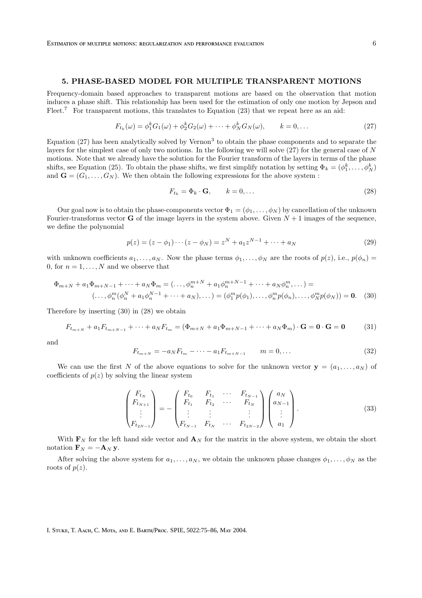### 5. PHASE-BASED MODEL FOR MULTIPLE TRANSPARENT MOTIONS

Frequency-domain based approaches to transparent motions are based on the observation that motion induces a phase shift. This relationship has been used for the estimation of only one motion by Jepson and Fleet.<sup>7</sup> For transparent motions, this translates to Equation  $(23)$  that we repeat here as an aid:

$$
F_{t_k}(\omega) = \phi_1^k G_1(\omega) + \phi_2^k G_2(\omega) + \dots + \phi_N^k G_N(\omega), \qquad k = 0, \dots
$$
 (27)

Equation  $(27)$  has been analytically solved by Vernon<sup>3</sup> to obtain the phase components and to separate the layers for the simplest case of only two motions. In the following we will solve (27) for the general case of N motions. Note that we already have the solution for the Fourier transform of the layers in terms of the phase shifts, see Equation (25). To obtain the phase shifts, we first simplify notation by setting  $\Phi_k = (\phi_1^k, \dots, \phi_N^k)$ and  $\mathbf{G} = (G_1, \ldots, G_N)$ . We then obtain the following expressions for the above system :

$$
F_{t_k} = \Phi_k \cdot \mathbf{G}, \qquad k = 0, \dots \tag{28}
$$

Our goal now is to obtain the phase-components vector  $\Phi_1 = (\phi_1, \dots, \phi_N)$  by cancellation of the unknown Fourier-transforms vector **G** of the image layers in the system above. Given  $N+1$  images of the sequence, we define the polynomial

$$
p(z) = (z - \phi_1) \cdots (z - \phi_N) = z^N + a_1 z^{N-1} + \cdots + a_N
$$
\n(29)

with unknown coefficients  $a_1, \ldots, a_N$ . Now the phase terms  $\phi_1, \ldots, \phi_N$  are the roots of  $p(z)$ , i.e.,  $p(\phi_n)$ 0, for  $n = 1, \ldots, N$  and we observe that

$$
\Phi_{m+N} + a_1 \Phi_{m+N-1} + \dots + a_N \Phi_m = (\dots, \phi_n^{m+N} + a_1 \phi_n^{m+N-1} + \dots + a_N \phi_n^m, \dots) =
$$
  

$$
(\dots, \phi_n^m (\phi_n^N + a_1 \phi_n^{N-1} + \dots + a_N), \dots) = (\phi_1^m p(\phi_1), \dots, \phi_n^m p(\phi_n), \dots, \phi_n^m p(\phi_N)) = \mathbf{0}.
$$
 (30)

Therefore by inserting (30) in (28) we obtain

$$
F_{t_{m+N}} + a_1 F_{t_{m+N-1}} + \dots + a_N F_{t_m} = (\Phi_{m+N} + a_1 \Phi_{m+N-1} + \dots + a_N \Phi_m) \cdot \mathbf{G} = \mathbf{0} \cdot \mathbf{G} = \mathbf{0}
$$
(31)

and

$$
F_{t_{m+N}} = -a_N F_{t_m} - \dots - a_1 F_{t_{m+N-1}} \qquad m = 0, \dots \tag{32}
$$

We can use the first N of the above equations to solve for the unknown vector  $y = (a_1, \ldots, a_N)$  of coefficients of  $p(z)$  by solving the linear system

$$
\begin{pmatrix}\nF_{t_N} \\
F_{t_{N+1}} \\
\vdots \\
F_{t_{2N-1}}\n\end{pmatrix} = - \begin{pmatrix}\nF_{t_0} & F_{t_1} & \cdots & F_{t_{N-1}} \\
F_{t_1} & F_{t_2} & \cdots & F_{t_N} \\
\vdots & \vdots & & \vdots \\
F_{t_{N-1}} & F_{t_N} & \cdots & F_{t_{2N-2}}\n\end{pmatrix} \begin{pmatrix}\na_N \\
a_{N-1} \\
\vdots \\
a_1\n\end{pmatrix}.
$$
\n(33)

With  $\mathbf{F}_N$  for the left hand side vector and  $\mathbf{A}_N$  for the matrix in the above system, we obtain the short notation  $\mathbf{F}_N = -\mathbf{A}_N \mathbf{y}$ .

After solving the above system for  $a_1, \ldots, a_N$ , we obtain the unknown phase changes  $\phi_1, \ldots, \phi_N$  as the roots of  $p(z)$ .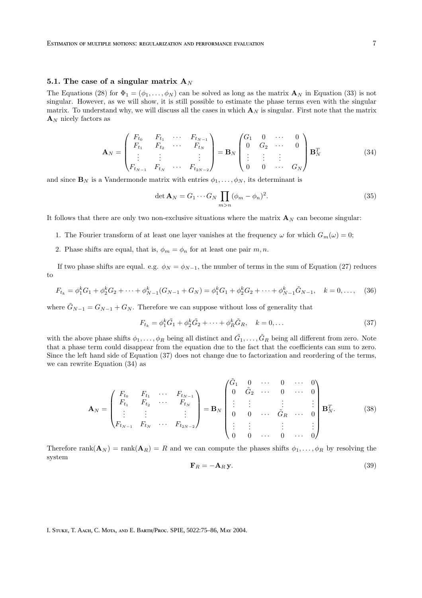# 5.1. The case of a singular matrix  $A_N$

The Equations (28) for  $\Phi_1 = (\phi_1, \ldots, \phi_N)$  can be solved as long as the matrix  $\mathbf{A}_N$  in Equation (33) is not singular. However, as we will show, it is still possible to estimate the phase terms even with the singular matrix. To understand why, we will discuss all the cases in which  $A_N$  is singular. First note that the matrix  $\mathbf{A}_N$  nicely factors as

$$
\mathbf{A}_{N} = \begin{pmatrix} F_{t_{0}} & F_{t_{1}} & \cdots & F_{t_{N-1}} \\ F_{t_{1}} & F_{t_{2}} & \cdots & F_{t_{N}} \\ \vdots & \vdots & & \vdots \\ F_{t_{N-1}} & F_{t_{N}} & \cdots & F_{t_{2N-2}} \end{pmatrix} = \mathbf{B}_{N} \begin{pmatrix} G_{1} & 0 & \cdots & 0 \\ 0 & G_{2} & \cdots & 0 \\ \vdots & \vdots & \vdots \\ 0 & 0 & \cdots & G_{N} \end{pmatrix} \mathbf{B}_{N}^{T}
$$
(34)

and since  $\mathbf{B}_N$  is a Vandermonde matrix with entries  $\phi_1, \ldots, \phi_N$ , its determinant is

$$
\det \mathbf{A}_N = G_1 \cdots G_N \prod_{m>n} (\phi_m - \phi_n)^2.
$$
 (35)

It follows that there are only two non-exclusive situations where the matrix  $\mathbf{A}_N$  can become singular:

- 1. The Fourier transform of at least one layer vanishes at the frequency  $\omega$  for which  $G_m(\omega) = 0$ ;
- 2. Phase shifts are equal, that is,  $\phi_m = \phi_n$  for at least one pair m, n.

If two phase shifts are equal. e.g.  $\phi_N = \phi_{N-1}$ , the number of terms in the sum of Equation (27) reduces to

$$
F_{t_k} = \phi_1^k G_1 + \phi_2^k G_2 + \dots + \phi_{N-1}^k (G_{N-1} + G_N) = \phi_1^k G_1 + \phi_2^k G_2 + \dots + \phi_{N-1}^k \tilde{G}_{N-1}, \quad k = 0, \dots, \quad (36)
$$

where  $\tilde{G}_{N-1} = G_{N-1} + G_N$ . Therefore we can suppose without loss of generality that

$$
F_{t_k} = \phi_1^k \tilde{G}_1 + \phi_2^k \tilde{G}_2 + \dots + \phi_R^k \tilde{G}_R, \quad k = 0, \dots
$$
 (37)

with the above phase shifts  $\phi_1, \ldots, \phi_R$  being all distinct and  $\tilde{G}_1, \ldots, \tilde{G}_R$  being all different from zero. Note that a phase term could disappear from the equation due to the fact that the coefficients can sum to zero. Since the left hand side of Equation (37) does not change due to factorization and reordering of the terms, we can rewrite Equation (34) as

$$
\mathbf{A}_{N} = \begin{pmatrix} F_{t_{0}} & F_{t_{1}} & \cdots & F_{t_{N-1}} \\ F_{t_{1}} & F_{t_{2}} & \cdots & F_{t_{N}} \\ \vdots & \vdots & & \vdots \\ F_{t_{N-1}} & F_{t_{N}} & \cdots & F_{t_{2N-2}} \end{pmatrix} = \mathbf{B}_{N} \begin{pmatrix} \tilde{G}_{1} & 0 & \cdots & 0 & \cdots & 0 \\ 0 & \tilde{G}_{2} & \cdots & 0 & \cdots & 0 \\ \vdots & \vdots & & \vdots & & \vdots \\ 0 & 0 & \cdots & \tilde{G}_{R} & \cdots & 0 \\ \vdots & \vdots & & \vdots & & \vdots \\ 0 & 0 & \cdots & 0 & \cdots & 0 \end{pmatrix} \mathbf{B}_{N}^{T}.
$$
 (38)

Therefore  $\text{rank}(\mathbf{A}_N) = \text{rank}(\mathbf{A}_R) = R$  and we can compute the phases shifts  $\phi_1, \ldots, \phi_R$  by resolving the system

$$
\mathbf{F}_R = -\mathbf{A}_R \mathbf{y}.\tag{39}
$$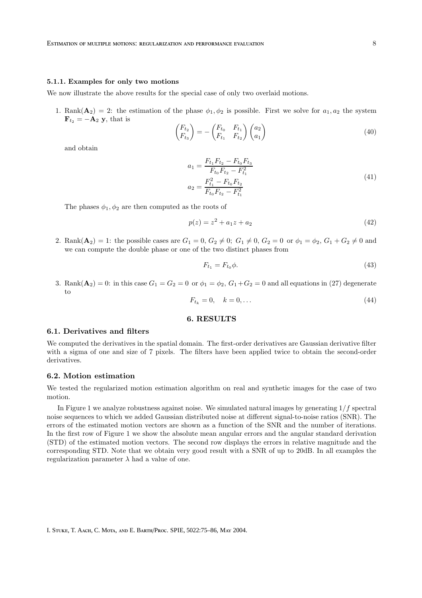#### 5.1.1. Examples for only two motions

We now illustrate the above results for the special case of only two overlaid motions.

1. Rank $(\mathbf{A}_2) = 2$ : the estimation of the phase  $\phi_1, \phi_2$  is possible. First we solve for  $a_1, a_2$  the system  $\mathbf{F}_{t_2} = -\mathbf{A}_2 \mathbf{y}$ , that is

$$
\begin{pmatrix} F_{t_2} \\ F_{t_3} \end{pmatrix} = -\begin{pmatrix} F_{t_0} & F_{t_1} \\ F_{t_1} & F_{t_2} \end{pmatrix} \begin{pmatrix} a_2 \\ a_1 \end{pmatrix}
$$
\n(40)

and obtain

$$
a_1 = \frac{F_{t_1} F_{t_2} - F_{t_0} F_{t_3}}{F_{t_0} F_{t_2} - F_{t_1}^2}
$$
  
\n
$$
a_2 = \frac{F_{t_1}^2 - F_{t_0} F_{t_2}}{F_{t_0} F_{t_2} - F_{t_1}^2}
$$
\n(41)

The phases  $\phi_1, \phi_2$  are then computed as the roots of

$$
p(z) = z^2 + a_1 z + a_2 \tag{42}
$$

2. Rank $(A_2) = 1$ : the possible cases are  $G_1 = 0, G_2 \neq 0; G_1 \neq 0, G_2 = 0$  or  $\phi_1 = \phi_2, G_1 + G_2 \neq 0$  and we can compute the double phase or one of the two distinct phases from

$$
F_{t_1} = F_{t_0} \phi. \tag{43}
$$

3. Rank $(\mathbf{A}_2) = 0$ : in this case  $G_1 = G_2 = 0$  or  $\phi_1 = \phi_2$ ,  $G_1 + G_2 = 0$  and all equations in (27) degenerate to

$$
F_{t_k} = 0, \quad k = 0, \dots \tag{44}
$$

# 6. RESULTS

### 6.1. Derivatives and filters

We computed the derivatives in the spatial domain. The first-order derivatives are Gaussian derivative filter with a sigma of one and size of 7 pixels. The filters have been applied twice to obtain the second-order derivatives.

### 6.2. Motion estimation

We tested the regularized motion estimation algorithm on real and synthetic images for the case of two motion.

In Figure 1 we analyze robustness against noise. We simulated natural images by generating  $1/f$  spectral noise sequences to which we added Gaussian distributed noise at different signal-to-noise ratios (SNR). The errors of the estimated motion vectors are shown as a function of the SNR and the number of iterations. In the first row of Figure 1 we show the absolute mean angular errors and the angular standard derivation (STD) of the estimated motion vectors. The second row displays the errors in relative magnitude and the corresponding STD. Note that we obtain very good result with a SNR of up to 20dB. In all examples the regularization parameter  $\lambda$  had a value of one.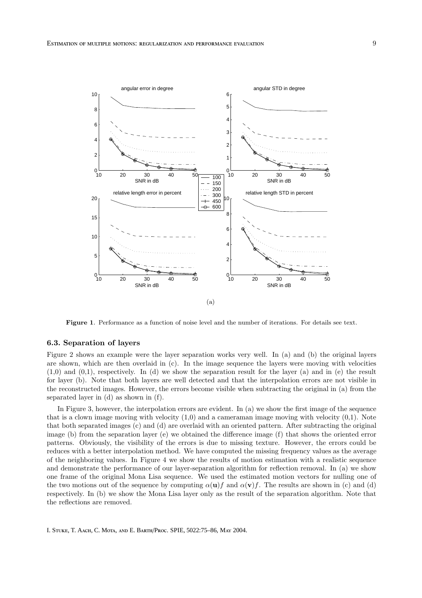

Figure 1. Performance as a function of noise level and the number of iterations. For details see text.

### 6.3. Separation of layers

Figure 2 shows an example were the layer separation works very well. In (a) and (b) the original layers are shown, which are then overlaid in (c). In the image sequence the layers were moving with velocities  $(1,0)$  and  $(0,1)$ , respectively. In (d) we show the separation result for the layer (a) and in (e) the result for layer (b). Note that both layers are well detected and that the interpolation errors are not visible in the reconstructed images. However, the errors become visible when subtracting the original in (a) from the separated layer in (d) as shown in (f).

In Figure 3, however, the interpolation errors are evident. In (a) we show the first image of the sequence that is a clown image moving with velocity  $(1,0)$  and a cameraman image moving with velocity  $(0,1)$ . Note that both separated images (c) and (d) are overlaid with an oriented pattern. After subtracting the original image (b) from the separation layer (e) we obtained the difference image (f) that shows the oriented error patterns. Obviously, the visibility of the errors is due to missing texture. However, the errors could be reduces with a better interpolation method. We have computed the missing frequency values as the average of the neighboring values. In Figure 4 we show the results of motion estimation with a realistic sequence and demonstrate the performance of our layer-separation algorithm for reflection removal. In (a) we show one frame of the original Mona Lisa sequence. We used the estimated motion vectors for nulling one of the two motions out of the sequence by computing  $\alpha(\mathbf{u})f$  and  $\alpha(\mathbf{v})f$ . The results are shown in (c) and (d) respectively. In (b) we show the Mona Lisa layer only as the result of the separation algorithm. Note that the reflections are removed.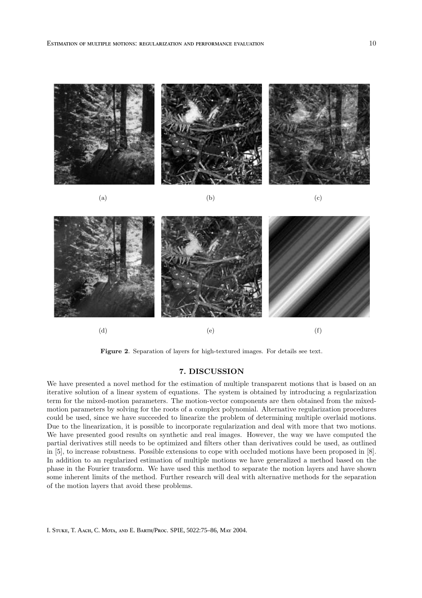

(a)  $(a)$  (b)  $(c)$ 





Figure 2. Separation of layers for high-textured images. For details see text.

# 7. DISCUSSION

We have presented a novel method for the estimation of multiple transparent motions that is based on an iterative solution of a linear system of equations. The system is obtained by introducing a regularization term for the mixed-motion parameters. The motion-vector components are then obtained from the mixedmotion parameters by solving for the roots of a complex polynomial. Alternative regularization procedures could be used, since we have succeeded to linearize the problem of determining multiple overlaid motions. Due to the linearization, it is possible to incorporate regularization and deal with more that two motions. We have presented good results on synthetic and real images. However, the way we have computed the partial derivatives still needs to be optimized and filters other than derivatives could be used, as outlined in [5], to increase robustness. Possible extensions to cope with occluded motions have been proposed in [8]. In addition to an regularized estimation of multiple motions we have generalized a method based on the phase in the Fourier transform. We have used this method to separate the motion layers and have shown some inherent limits of the method. Further research will deal with alternative methods for the separation of the motion layers that avoid these problems.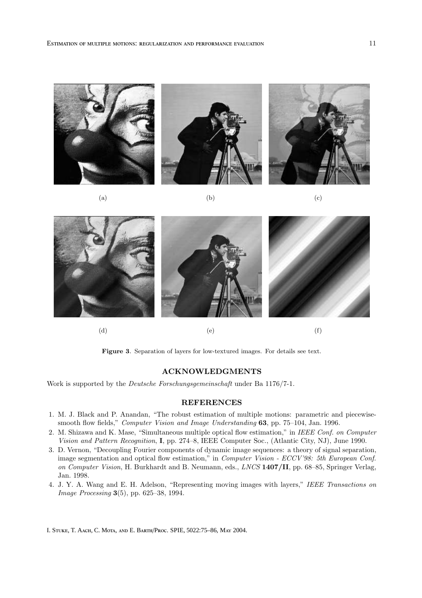

(a)  $(a)$  (b)  $(c)$ 





(d)  $(e)$  (f)

Figure 3. Separation of layers for low-textured images. For details see text.

# ACKNOWLEDGMENTS

Work is supported by the Deutsche Forschungsgemeinschaft under Ba 1176/7-1.

# REFERENCES

- 1. M. J. Black and P. Anandan, "The robust estimation of multiple motions: parametric and piecewisesmooth flow fields," Computer Vision and Image Understanding 63, pp. 75-104, Jan. 1996.
- 2. M. Shizawa and K. Mase, "Simultaneous multiple optical flow estimation," in IEEE Conf. on Computer Vision and Pattern Recognition, I, pp. 274–8, IEEE Computer Soc., (Atlantic City, NJ), June 1990.
- 3. D. Vernon, "Decoupling Fourier components of dynamic image sequences: a theory of signal separation, image segmentation and optical flow estimation," in Computer Vision - ECCV'98: 5th European Conf. on Computer Vision, H. Burkhardt and B. Neumann, eds., LNCS 1407/II, pp. 68–85, Springer Verlag, Jan. 1998.
- 4. J. Y. A. Wang and E. H. Adelson, "Representing moving images with layers," IEEE Transactions on Image Processing 3(5), pp. 625–38, 1994.